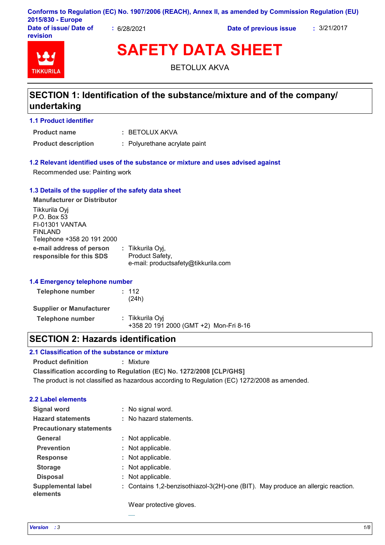|                                    |           | Conforms to Regulation (EC) No. 1907/2006 (REACH), Annex II, as amended by Commission Regulation (EU) |             |
|------------------------------------|-----------|-------------------------------------------------------------------------------------------------------|-------------|
| 2015/830 - Europe                  |           |                                                                                                       |             |
| Date of issue/ Date of<br>revision | 6/28/2021 | Date of previous issue                                                                                | : 3/21/2017 |

# **TIKKURIL**

**SAFETY DATA SHEET**

BETOLUX AKVA

## **SECTION 1: Identification of the substance/mixture and of the company/ undertaking**

## **1.1 Product identifier**

**Product name**

BETOLUX AKVA **:**

**Product description :** Polyurethane acrylate paint

## **1.2 Relevant identified uses of the substance or mixture and uses advised against**

Recommended use: Painting work

## **1.3 Details of the supplier of the safety data sheet**

**e-mail address of person responsible for this SDS :** Tikkurila Oyj, Product Safety, e-mail: productsafety@tikkurila.com **Manufacturer or Distributor** Tikkurila Oyj P.O. Box 53 FI-01301 VANTAA FINLAND Telephone +358 20 191 2000

## **1.4 Emergency telephone number**

| Telephone number                | : 112<br>(24h)                                            |  |
|---------------------------------|-----------------------------------------------------------|--|
| <b>Supplier or Manufacturer</b> |                                                           |  |
| Telephone number                | : Tikkurila Oyi<br>+358 20 191 2000 (GMT +2) Mon-Fri 8-16 |  |

## **SECTION 2: Hazards identification**

## **2.1 Classification of the substance or mixture**

**Product definition :** Mixture

**Classification according to Regulation (EC) No. 1272/2008 [CLP/GHS]**

The product is not classified as hazardous according to Regulation (EC) 1272/2008 as amended.

## **2.2 Label elements**

| <b>Signal word</b>                    | No signal word.<br>÷.                                                            |
|---------------------------------------|----------------------------------------------------------------------------------|
| <b>Hazard statements</b>              | : No hazard statements.                                                          |
| <b>Precautionary statements</b>       |                                                                                  |
| <b>General</b>                        | : Not applicable.                                                                |
| <b>Prevention</b>                     | : Not applicable.                                                                |
| <b>Response</b>                       | : Not applicable.                                                                |
| <b>Storage</b>                        | : Not applicable.                                                                |
| <b>Disposal</b>                       | : Not applicable.                                                                |
| <b>Supplemental label</b><br>elements | : Contains 1,2-benzisothiazol-3(2H)-one (BIT). May produce an allergic reaction. |

Wear protective gloves.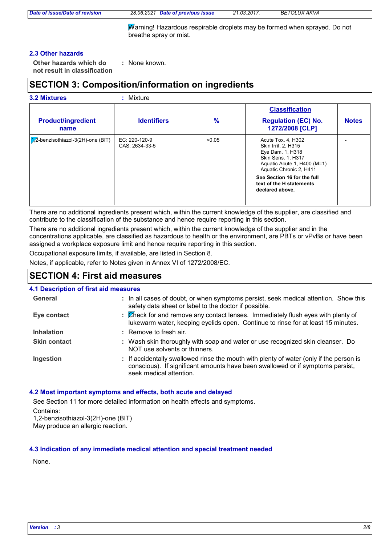*Date of issue/Date of revision 28.06.2021 Date of previous issue 21.03.2017. BETOLUX AKVA*

Warning! Hazardous respirable droplets may be formed when sprayed. Do not breathe spray or mist.

#### **2.3 Other hazards**

**Other hazards which do : not result in classification** : None known.

## **SECTION 3: Composition/information on ingredients**

| <b>3.2 Mixtures</b>                        | : Mixture                       |        |                                                                                                                                                      |              |
|--------------------------------------------|---------------------------------|--------|------------------------------------------------------------------------------------------------------------------------------------------------------|--------------|
|                                            |                                 |        | <b>Classification</b>                                                                                                                                |              |
| <b>Product/ingredient</b><br>name          | <b>Identifiers</b>              | $\%$   | <b>Regulation (EC) No.</b><br>1272/2008 [CLP]                                                                                                        | <b>Notes</b> |
| $\sqrt{2}$ -benzisothiazol-3(2H)-one (BIT) | EC: 220-120-9<br>CAS: 2634-33-5 | < 0.05 | Acute Tox. 4, H302<br>Skin Irrit. 2, H315<br>Eye Dam. 1, H318<br><b>Skin Sens. 1, H317</b><br>Aquatic Acute 1, H400 (M=1)<br>Aquatic Chronic 2, H411 |              |
|                                            |                                 |        | See Section 16 for the full<br>text of the H statements<br>declared above.                                                                           |              |

There are no additional ingredients present which, within the current knowledge of the supplier, are classified and contribute to the classification of the substance and hence require reporting in this section.

There are no additional ingredients present which, within the current knowledge of the supplier and in the concentrations applicable, are classified as hazardous to health or the environment, are PBTs or vPvBs or have been assigned a workplace exposure limit and hence require reporting in this section.

Occupational exposure limits, if available, are listed in Section 8.

Notes, if applicable, refer to Notes given in Annex VI of 1272/2008/EC.

## **SECTION 4: First aid measures**

#### **4.1 Description of first aid measures**

| General             | : In all cases of doubt, or when symptoms persist, seek medical attention. Show this<br>safety data sheet or label to the doctor if possible.                                                        |
|---------------------|------------------------------------------------------------------------------------------------------------------------------------------------------------------------------------------------------|
| Eye contact         | : Check for and remove any contact lenses. Immediately flush eyes with plenty of<br>lukewarm water, keeping eyelids open. Continue to rinse for at least 15 minutes.                                 |
| <b>Inhalation</b>   | : Remove to fresh air.                                                                                                                                                                               |
| <b>Skin contact</b> | : Wash skin thoroughly with soap and water or use recognized skin cleanser. Do<br>NOT use solvents or thinners.                                                                                      |
| Ingestion           | : If accidentally swallowed rinse the mouth with plenty of water (only if the person is<br>conscious). If significant amounts have been swallowed or if symptoms persist,<br>seek medical attention. |

#### **4.2 Most important symptoms and effects, both acute and delayed**

See Section 11 for more detailed information on health effects and symptoms.

Contains:

1,2-benzisothiazol-3(2H)-one (BIT) May produce an allergic reaction.

#### **4.3 Indication of any immediate medical attention and special treatment needed**

None.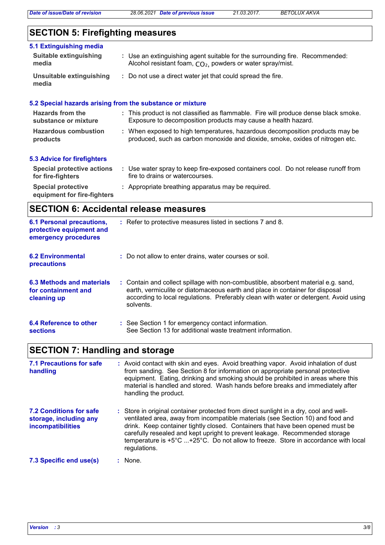## **SECTION 5: Firefighting measures**

| 5.1 Extinguishing media<br><b>Suitable extinguishing</b><br>media | : Use an extinguishing agent suitable for the surrounding fire. Recommended:<br>Alcohol resistant foam, CO <sub>2</sub> , powders or water spray/mist.        |
|-------------------------------------------------------------------|---------------------------------------------------------------------------------------------------------------------------------------------------------------|
| Unsuitable extinguishing<br>media                                 | : Do not use a direct water jet that could spread the fire.                                                                                                   |
|                                                                   | 5.2 Special hazards arising from the substance or mixture                                                                                                     |
| Hazards from the<br>substance or mixture                          | : This product is not classified as flammable. Fire will produce dense black smoke.<br>Exposure to decomposition products may cause a health hazard.          |
| <b>Hazardous combustion</b><br>products                           | : When exposed to high temperatures, hazardous decomposition products may be<br>produced, such as carbon monoxide and dioxide, smoke, oxides of nitrogen etc. |
| <b>5.3 Advice for firefighters</b>                                |                                                                                                                                                               |
| <b>Special protective actions</b><br>for fire-fighters            | : Use water spray to keep fire-exposed containers cool. Do not release runoff from<br>fire to drains or watercourses.                                         |

**Special protective : Appropriate breathing apparatus may be required. equipment for fire-fighters**

## **SECTION 6: Accidental release measures**

| <b>6.1 Personal precautions,</b><br>protective equipment and<br>emergency procedures | : Refer to protective measures listed in sections 7 and 8.                                                                                                                                                                                                               |
|--------------------------------------------------------------------------------------|--------------------------------------------------------------------------------------------------------------------------------------------------------------------------------------------------------------------------------------------------------------------------|
| <b>6.2 Environmental</b><br>precautions                                              | : Do not allow to enter drains, water courses or soil.                                                                                                                                                                                                                   |
| 6.3 Methods and materials<br>for containment and<br>cleaning up                      | : Contain and collect spillage with non-combustible, absorbent material e.g. sand,<br>earth, vermiculite or diatomaceous earth and place in container for disposal<br>according to local regulations. Preferably clean with water or detergent. Avoid using<br>solvents. |
| 6.4 Reference to other<br><b>sections</b>                                            | : See Section 1 for emergency contact information.<br>See Section 13 for additional waste treatment information.                                                                                                                                                         |

## **SECTION 7: Handling and storage**

| <b>7.1 Precautions for safe</b><br>handling                                          | : Avoid contact with skin and eyes. Avoid breathing vapor. Avoid inhalation of dust<br>from sanding. See Section 8 for information on appropriate personal protective<br>equipment. Eating, drinking and smoking should be prohibited in areas where this<br>material is handled and stored. Wash hands before breaks and immediately after<br>handling the product.                                                                           |
|--------------------------------------------------------------------------------------|------------------------------------------------------------------------------------------------------------------------------------------------------------------------------------------------------------------------------------------------------------------------------------------------------------------------------------------------------------------------------------------------------------------------------------------------|
| <b>7.2 Conditions for safe</b><br>storage, including any<br><b>incompatibilities</b> | : Store in original container protected from direct sunlight in a dry, cool and well-<br>ventilated area, away from incompatible materials (see Section 10) and food and<br>drink. Keep container tightly closed. Containers that have been opened must be<br>carefully resealed and kept upright to prevent leakage. Recommended storage<br>temperature is +5°C +25°C. Do not allow to freeze. Store in accordance with local<br>regulations. |
| 7.3 Specific end use(s)                                                              | : None.                                                                                                                                                                                                                                                                                                                                                                                                                                        |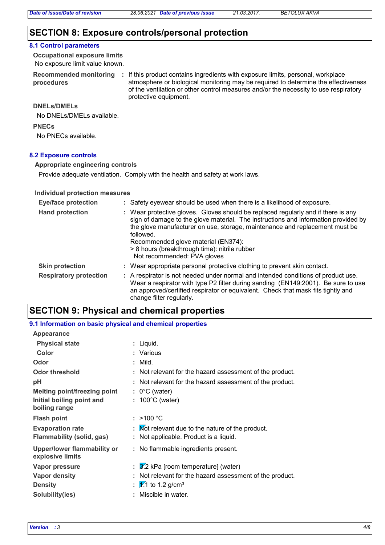## **SECTION 8: Exposure controls/personal protection**

#### **8.1 Control parameters**

No exposure limit value known. **Occupational exposure limits**

**Recommended monitoring procedures**

: If this product contains ingredients with exposure limits, personal, workplace atmosphere or biological monitoring may be required to determine the effectiveness of the ventilation or other control measures and/or the necessity to use respiratory protective equipment.

#### **DNELs/DMELs**

No DNELs/DMELs available.

**PNECs**

No PNECs available.

#### **8.2 Exposure controls**

**Appropriate engineering controls**

Provide adequate ventilation. Comply with the health and safety at work laws.

#### **Individual protection measures**

| <b>Eye/face protection</b>    | : Safety eyewear should be used when there is a likelihood of exposure.                                                                                                                                                                                                                                                                                                                    |
|-------------------------------|--------------------------------------------------------------------------------------------------------------------------------------------------------------------------------------------------------------------------------------------------------------------------------------------------------------------------------------------------------------------------------------------|
| <b>Hand protection</b>        | : Wear protective gloves. Gloves should be replaced regularly and if there is any<br>sign of damage to the glove material. The instructions and information provided by<br>the glove manufacturer on use, storage, maintenance and replacement must be<br>followed.<br>Recommended glove material (EN374):<br>> 8 hours (breakthrough time): nitrile rubber<br>Not recommended: PVA gloves |
| <b>Skin protection</b>        | : Wear appropriate personal protective clothing to prevent skin contact.                                                                                                                                                                                                                                                                                                                   |
| <b>Respiratory protection</b> | : A respirator is not needed under normal and intended conditions of product use.<br>Wear a respirator with type P2 filter during sanding (EN149:2001). Be sure to use<br>an approved/certified respirator or equivalent. Check that mask fits tightly and<br>change filter regularly.                                                                                                     |

## **SECTION 9: Physical and chemical properties**

#### **9.1 Information on basic physical and chemical properties**

| Appearance                                             |                                                          |
|--------------------------------------------------------|----------------------------------------------------------|
| <b>Physical state</b>                                  | : Liquid.                                                |
| Color                                                  | : Various                                                |
| Odor                                                   | : Mild.                                                  |
| <b>Odor threshold</b>                                  | : Not relevant for the hazard assessment of the product. |
| рH                                                     | : Not relevant for the hazard assessment of the product. |
| <b>Melting point/freezing point</b>                    | $: 0^{\circ}$ C (water)                                  |
| Initial boiling point and<br>boiling range             | $: 100^{\circ}$ C (water)                                |
| <b>Flash point</b>                                     | : $>100 °C$                                              |
| <b>Evaporation rate</b>                                | : Mot relevant due to the nature of the product.         |
| <b>Flammability (solid, gas)</b>                       | : Not applicable. Product is a liquid.                   |
|                                                        |                                                          |
| <b>Upper/lower flammability or</b><br>explosive limits | : No flammable ingredients present.                      |
| Vapor pressure                                         | $\frac{3}{2}$ kPa [room temperature] (water)             |
| <b>Vapor density</b>                                   | : Not relevant for the hazard assessment of the product. |
| <b>Density</b>                                         | : $\frac{1}{2}$ to 1.2 g/cm <sup>3</sup>                 |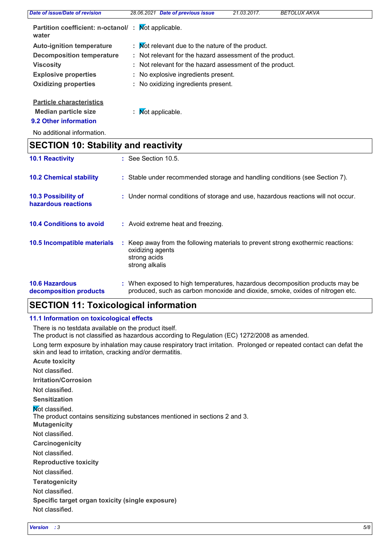| Date of issue/Date of revision                              | <b>Date of previous issue</b><br>28.06.2021              | 21.03.2017. | <b>BETOLUX AKVA</b> |  |
|-------------------------------------------------------------|----------------------------------------------------------|-------------|---------------------|--|
| Partition coefficient: n-octanol/: Mot applicable.<br>water |                                                          |             |                     |  |
| <b>Auto-ignition temperature</b>                            | : Mot relevant due to the nature of the product.         |             |                     |  |
| <b>Decomposition temperature</b>                            | : Not relevant for the hazard assessment of the product. |             |                     |  |
| <b>Viscosity</b>                                            | : Not relevant for the hazard assessment of the product. |             |                     |  |
| <b>Explosive properties</b>                                 | : No explosive ingredients present.                      |             |                     |  |
| <b>Oxidizing properties</b>                                 | : No oxidizing ingredients present.                      |             |                     |  |
| <b>Particle characteristics</b>                             |                                                          |             |                     |  |
| <b>Median particle size</b>                                 | : $\mathsf{M}\text{ot}$ applicable.                      |             |                     |  |
| 9.2 Other information                                       |                                                          |             |                     |  |

No additional information.

## **SECTION 10: Stability and reactivity**

| <b>10.1 Reactivity</b>                          | $\therefore$ See Section 10.5.                                                                                                                                |
|-------------------------------------------------|---------------------------------------------------------------------------------------------------------------------------------------------------------------|
| <b>10.2 Chemical stability</b>                  | : Stable under recommended storage and handling conditions (see Section 7).                                                                                   |
| 10.3 Possibility of<br>hazardous reactions      | : Under normal conditions of storage and use, hazardous reactions will not occur.                                                                             |
| <b>10.4 Conditions to avoid</b>                 | : Avoid extreme heat and freezing.                                                                                                                            |
| 10.5 Incompatible materials                     | : Keep away from the following materials to prevent strong exothermic reactions:<br>oxidizing agents<br>strong acids<br>strong alkalis                        |
| <b>10.6 Hazardous</b><br>decomposition products | : When exposed to high temperatures, hazardous decomposition products may be<br>produced, such as carbon monoxide and dioxide, smoke, oxides of nitrogen etc. |

## **SECTION 11: Toxicological information**

## **11.1 Information on toxicological effects**

There is no testdata available on the product itself.

The product is not classified as hazardous according to Regulation (EC) 1272/2008 as amended.

Long term exposure by inhalation may cause respiratory tract irritation. Prolonged or repeated contact can defat the skin and lead to irritation, cracking and/or dermatitis.

**Acute toxicity**

Not classified.

**Irritation/Corrosion**

Not classified.

**Sensitization**

**Not classified.** 

The product contains sensitizing substances mentioned in sections 2 and 3.

**Mutagenicity**

Not classified.

**Carcinogenicity**

Not classified.

**Reproductive toxicity**

Not classified.

**Teratogenicity**

Not classified.

**Specific target organ toxicity (single exposure)**

Not classified.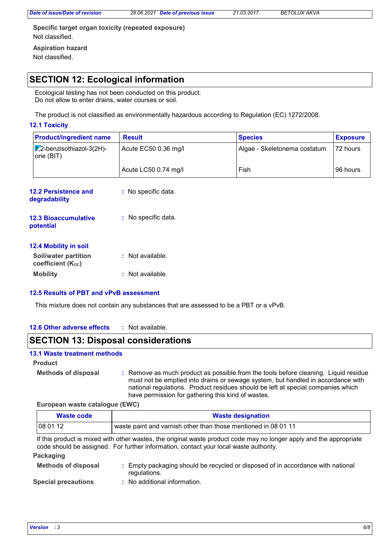*Date of issue/Date of revision 28.06.2021 Date of previous issue 21.03.2017. BETOLUX AKVA*

**Specific target organ toxicity (repeated exposure) Aspiration hazard** Not classified.

Not classified.

## **SECTION 12: Ecological information**

Ecological testing has not been conducted on this product. Do not allow to enter drains, water courses or soil.

The product is not classified as environmentally hazardous according to Regulation (EC) 1272/2008.

## **12.1 Toxicity**

| <b>Product/ingredient name</b>                   | <b>Result</b>        | <b>Species</b>               | <b>Exposure</b> |
|--------------------------------------------------|----------------------|------------------------------|-----------------|
| $\sqrt{1/2}$ -benzisothiazol-3(2H)-<br>one (BIT) | Acute EC50 0.36 mg/l | Algae - Skeletonema costatum | 72 hours        |
|                                                  | Acute LC50 0.74 mg/l | Fish                         | 96 hours        |

| 12.2 Persistence and<br>degradability                | : No specific data.   |
|------------------------------------------------------|-----------------------|
| <b>12.3 Bioaccumulative</b><br>potential             | $:$ No specific data. |
| <b>12.4 Mobility in soil</b><br>Soil/water partition | Not available.        |

| Soll/water partition<br>coefficient (Koc) | : Not available. |
|-------------------------------------------|------------------|
| <b>Mobility</b>                           | : Not available. |

## **12.5 Results of PBT and vPvB assessment**

This mixture does not contain any substances that are assessed to be a PBT or a vPvB.

#### **12.6 Other adverse effects :**

## **SECTION 13: Disposal considerations**

## **13.1 Waste treatment methods**

**Product**

**Methods of disposal :**

Remove as much product as possible from the tools before cleaning. Liquid residue must not be emptied into drains or sewage system, but handled in accordance with national regulations. Product residues should be left at special companies which have permission for gathering this kind of wastes.

#### **European waste catalogue (EWC)**

| Waste code                                                                                                                                                                                                   | <b>Waste designation</b> |  |  |
|--------------------------------------------------------------------------------------------------------------------------------------------------------------------------------------------------------------|--------------------------|--|--|
| 08 01 12<br>waste paint and varnish other than those mentioned in 08 01 11                                                                                                                                   |                          |  |  |
| If this product is mixed with other wastes, the original waste product code may no longer apply and the appropriate<br>code should be assigned. For further information, contact your local waste authority. |                          |  |  |
| Packaging                                                                                                                                                                                                    |                          |  |  |
|                                                                                                                                                                                                              |                          |  |  |

| <b>Methods of disposal</b> | Empty packaging should be recycled or disposed of in accordance with national<br>regulations. |
|----------------------------|-----------------------------------------------------------------------------------------------|
| <b>Special precautions</b> | : No additional information.                                                                  |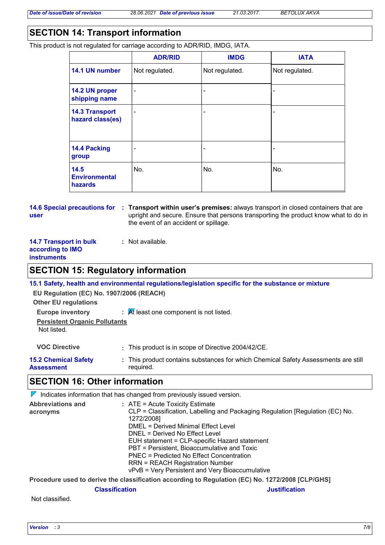## **SECTION 14: Transport information**

This product is not regulated for carriage according to ADR/RID, IMDG, IATA.

|                                                | <b>ADR/RID</b> | <b>IMDG</b>    | <b>IATA</b>    |
|------------------------------------------------|----------------|----------------|----------------|
| 14.1 UN number                                 | Not regulated. | Not regulated. | Not regulated. |
| 14.2 UN proper<br>shipping name                | $\blacksquare$ | -              |                |
| <b>14.3 Transport</b><br>hazard class(es)      | $\blacksquare$ | -              |                |
| 14.4 Packing<br>group                          |                | ۰              |                |
| 14.5<br><b>Environmental</b><br><b>hazards</b> | No.            | No.            | No.            |

#### **14.6 Special precautions for Transport within user's premises:** always transport in closed containers that are **: user** upright and secure. Ensure that persons transporting the product know what to do in the event of an accident or spillage.

#### **14.7 Transport in bulk according to IMO instruments**

## **SECTION 15: Regulatory information**

**:** Not available.

|                                                                         | 15.1 Safety, health and environmental regulations/legislation specific for the substance or mixture |
|-------------------------------------------------------------------------|-----------------------------------------------------------------------------------------------------|
| EU Regulation (EC) No. 1907/2006 (REACH)<br><b>Other EU regulations</b> |                                                                                                     |
| <b>Europe inventory</b>                                                 | $\mathcal{A}$ R least one component is not listed.                                                  |
| <b>Persistent Organic Pollutants</b><br>Not listed.                     |                                                                                                     |
| <b>VOC Directive</b>                                                    | : This product is in scope of Directive 2004/42/CE.                                                 |
| <b>15.2 Chemical Safety</b><br><b>Assessment</b>                        | : This product contains substances for which Chemical Safety Assessments are still<br>required.     |

## **SECTION 16: Other information**

|                          |  | $\triangledown$ Indicates information that has changed from previously issued version.           |
|--------------------------|--|--------------------------------------------------------------------------------------------------|
| <b>Abbreviations and</b> |  | $:$ ATE = Acute Toxicity Estimate                                                                |
| acronyms                 |  | CLP = Classification, Labelling and Packaging Regulation [Regulation (EC) No.<br>1272/2008]      |
|                          |  | DMEL = Derived Minimal Effect Level                                                              |
|                          |  | DNEL = Derived No Effect Level                                                                   |
|                          |  | EUH statement = CLP-specific Hazard statement                                                    |
|                          |  | PBT = Persistent, Bioaccumulative and Toxic                                                      |
|                          |  | PNEC = Predicted No Effect Concentration                                                         |
|                          |  | <b>RRN = REACH Registration Number</b>                                                           |
|                          |  | vPvB = Very Persistent and Very Bioaccumulative                                                  |
|                          |  | Dreasdure used to derive the eleccification cocordina to Deminition (EC) No. 1979/9000 [CLD/CUCI |

**Procedure used to derive the classification according to Regulation (EC) No. 1272/2008 [CLP/GHS]**

#### **Classification Justification**

Not classified.